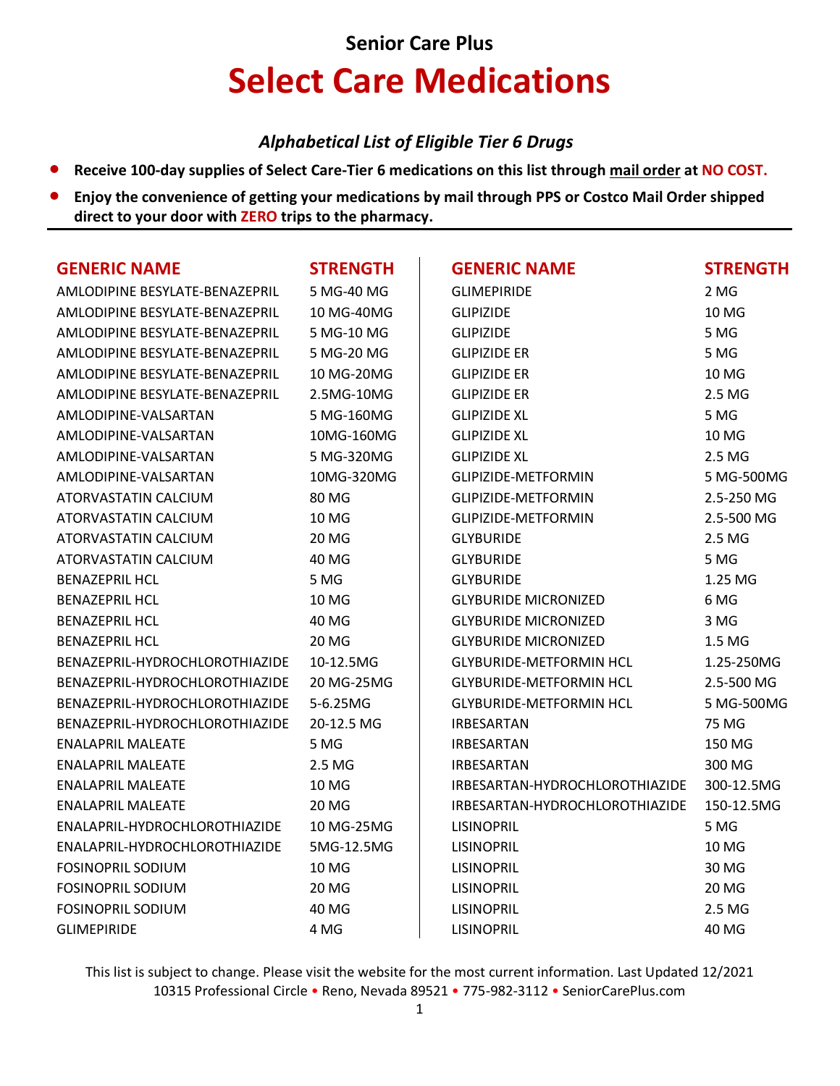# **Senior Care Plus Select Care Medications**

### *Alphabetical List of Eligible Tier 6 Drugs*

- **Receive 100-day supplies of Select Care-Tier 6 medications on this list through mail order at NO COST.**
- **Enjoy the convenience of getting your medications by mail through PPS or Costco Mail Order shipped direct to your door with ZERO trips to the pharmacy.**

| <b>GENERIC NAME</b>            | <b>STRENGTH</b> | <b>GENERIC NAME</b>            | <b>STRENGTH</b> |
|--------------------------------|-----------------|--------------------------------|-----------------|
| AMLODIPINE BESYLATE-BENAZEPRIL | 5 MG-40 MG      | <b>GLIMEPIRIDE</b>             | 2 MG            |
| AMLODIPINE BESYLATE-BENAZEPRIL | 10 MG-40MG      | <b>GLIPIZIDE</b>               | 10 MG           |
| AMLODIPINE BESYLATE-BENAZEPRIL | 5 MG-10 MG      | <b>GLIPIZIDE</b>               | 5 MG            |
| AMLODIPINE BESYLATE-BENAZEPRIL | 5 MG-20 MG      | <b>GLIPIZIDE ER</b>            | 5 MG            |
| AMLODIPINE BESYLATE-BENAZEPRIL | 10 MG-20MG      | <b>GLIPIZIDE ER</b>            | 10 MG           |
| AMLODIPINE BESYLATE-BENAZEPRIL | 2.5MG-10MG      | <b>GLIPIZIDE ER</b>            | 2.5 MG          |
| AMLODIPINE-VALSARTAN           | 5 MG-160MG      | <b>GLIPIZIDE XL</b>            | 5 MG            |
| AMLODIPINE-VALSARTAN           | 10MG-160MG      | <b>GLIPIZIDE XL</b>            | 10 MG           |
| AMLODIPINE-VALSARTAN           | 5 MG-320MG      | <b>GLIPIZIDE XL</b>            | 2.5 MG          |
| AMLODIPINE-VALSARTAN           | 10MG-320MG      | GLIPIZIDE-METFORMIN            | 5 MG-500MG      |
| ATORVASTATIN CALCIUM           | 80 MG           | GLIPIZIDE-METFORMIN            | 2.5-250 MG      |
| ATORVASTATIN CALCIUM           | <b>10 MG</b>    | GLIPIZIDE-METFORMIN            | 2.5-500 MG      |
| ATORVASTATIN CALCIUM           | 20 MG           | <b>GLYBURIDE</b>               | 2.5 MG          |
| ATORVASTATIN CALCIUM           | 40 MG           | <b>GLYBURIDE</b>               | 5 MG            |
| <b>BENAZEPRIL HCL</b>          | 5 MG            | <b>GLYBURIDE</b>               | 1.25 MG         |
| <b>BENAZEPRIL HCL</b>          | 10 MG           | <b>GLYBURIDE MICRONIZED</b>    | 6 MG            |
| <b>BENAZEPRIL HCL</b>          | 40 MG           | <b>GLYBURIDE MICRONIZED</b>    | 3 MG            |
| <b>BENAZEPRIL HCL</b>          | <b>20 MG</b>    | <b>GLYBURIDE MICRONIZED</b>    | 1.5 MG          |
| BENAZEPRIL-HYDROCHLOROTHIAZIDE | 10-12.5MG       | <b>GLYBURIDE-METFORMIN HCL</b> | 1.25-250MG      |
| BENAZEPRIL-HYDROCHLOROTHIAZIDE | 20 MG-25MG      | <b>GLYBURIDE-METFORMIN HCL</b> | 2.5-500 MG      |
| BENAZEPRIL-HYDROCHLOROTHIAZIDE | 5-6.25MG        | <b>GLYBURIDE-METFORMIN HCL</b> | 5 MG-500MG      |
| BENAZEPRIL-HYDROCHLOROTHIAZIDE | 20-12.5 MG      | <b>IRBESARTAN</b>              | 75 MG           |
| <b>ENALAPRIL MALEATE</b>       | 5 MG            | <b>IRBESARTAN</b>              | 150 MG          |
| <b>ENALAPRIL MALEATE</b>       | 2.5 MG          | <b>IRBESARTAN</b>              | 300 MG          |
| <b>ENALAPRIL MALEATE</b>       | 10 MG           | IRBESARTAN-HYDROCHLOROTHIAZIDE | 300-12.5MG      |
| <b>ENALAPRIL MALEATE</b>       | 20 MG           | IRBESARTAN-HYDROCHLOROTHIAZIDE | 150-12.5MG      |
| ENALAPRIL-HYDROCHLOROTHIAZIDE  | 10 MG-25MG      | <b>LISINOPRIL</b>              | 5 MG            |
| ENALAPRIL-HYDROCHLOROTHIAZIDE  | 5MG-12.5MG      | <b>LISINOPRIL</b>              | 10 MG           |
| <b>FOSINOPRIL SODIUM</b>       | 10 MG           | <b>LISINOPRIL</b>              | 30 MG           |
| <b>FOSINOPRIL SODIUM</b>       | 20 MG           | <b>LISINOPRIL</b>              | 20 MG           |
| <b>FOSINOPRIL SODIUM</b>       | 40 MG           | LISINOPRIL                     | 2.5 MG          |
| <b>GLIMEPIRIDE</b>             | 4 MG            | <b>LISINOPRIL</b>              | 40 MG           |

This list is subject to change. Please visit the website for the most current information. Last Updated 12/2021 10315 Professional Circle • Reno, Nevada 89521 • 775-982-3112 • SeniorCarePlus.com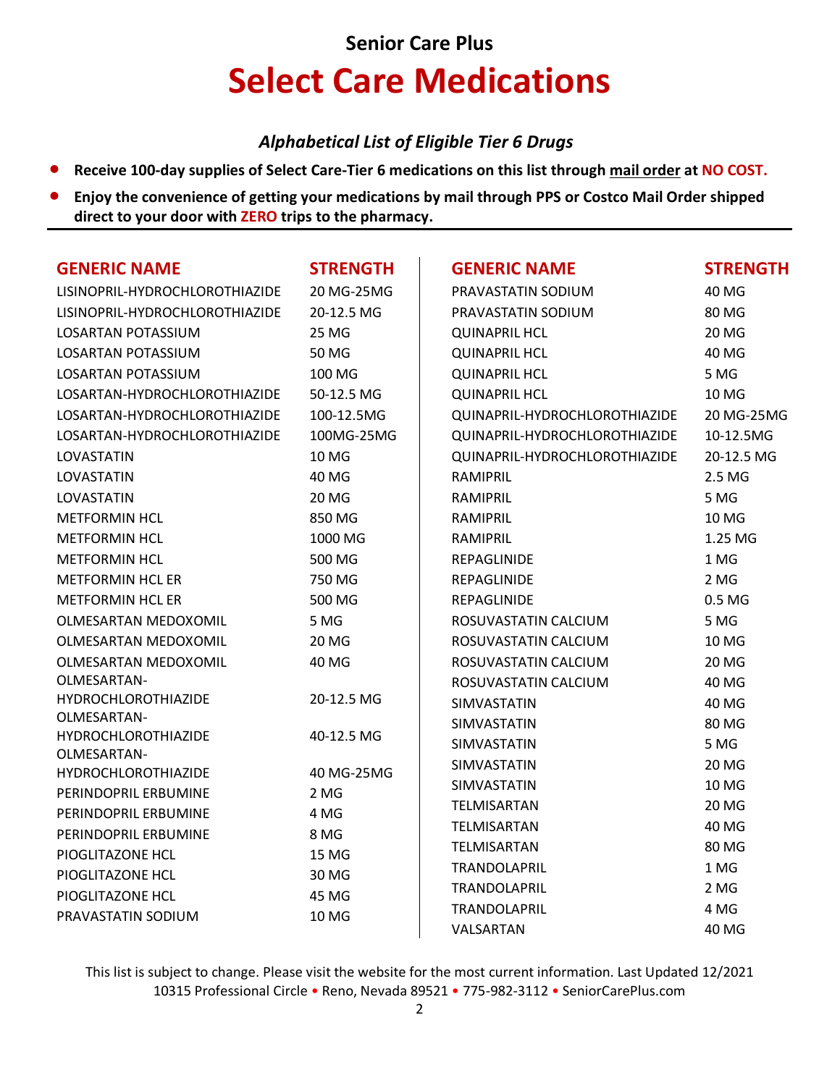# **Senior Care Plus Select Care Medications**

### *Alphabetical List of Eligible Tier 6 Drugs*

- **Receive 100-day supplies of Select Care-Tier 6 medications on this list through mail order at NO COST.**
- **Enjoy the convenience of getting your medications by mail through PPS or Costco Mail Order shipped direct to your door with ZERO trips to the pharmacy.**

| <b>GENERIC NAME</b>                       | <b>STRENGTH</b> | <b>GENERIC NAME</b>           | <b>STRENGTH</b> |
|-------------------------------------------|-----------------|-------------------------------|-----------------|
| LISINOPRIL-HYDROCHLOROTHIAZIDE            | 20 MG-25MG      | PRAVASTATIN SODIUM            | 40 MG           |
| LISINOPRIL-HYDROCHLOROTHIAZIDE            | 20-12.5 MG      | PRAVASTATIN SODIUM            | 80 MG           |
| LOSARTAN POTASSIUM                        | 25 MG           | <b>QUINAPRIL HCL</b>          | 20 MG           |
| LOSARTAN POTASSIUM                        | 50 MG           | <b>QUINAPRIL HCL</b>          | 40 MG           |
| <b>LOSARTAN POTASSIUM</b>                 | 100 MG          | <b>QUINAPRIL HCL</b>          | 5 MG            |
| LOSARTAN-HYDROCHLOROTHIAZIDE              | 50-12.5 MG      | <b>QUINAPRIL HCL</b>          | <b>10 MG</b>    |
| LOSARTAN-HYDROCHLOROTHIAZIDE              | 100-12.5MG      | QUINAPRIL-HYDROCHLOROTHIAZIDE | 20 MG-25MG      |
| LOSARTAN-HYDROCHLOROTHIAZIDE              | 100MG-25MG      | QUINAPRIL-HYDROCHLOROTHIAZIDE | 10-12.5MG       |
| LOVASTATIN                                | 10 MG           | QUINAPRIL-HYDROCHLOROTHIAZIDE | 20-12.5 MG      |
| LOVASTATIN                                | 40 MG           | RAMIPRIL                      | 2.5 MG          |
| LOVASTATIN                                | <b>20 MG</b>    | RAMIPRIL                      | 5 MG            |
| <b>METFORMIN HCL</b>                      | 850 MG          | RAMIPRIL                      | <b>10 MG</b>    |
| <b>METFORMIN HCL</b>                      | 1000 MG         | RAMIPRIL                      | 1.25 MG         |
| METFORMIN HCL                             | 500 MG          | REPAGLINIDE                   | 1 MG            |
| <b>METFORMIN HCL ER</b>                   | 750 MG          | REPAGLINIDE                   | 2 MG            |
| <b>METFORMIN HCL ER</b>                   | 500 MG          | REPAGLINIDE                   | 0.5 MG          |
| OLMESARTAN MEDOXOMIL                      | 5 MG            | ROSUVASTATIN CALCIUM          | 5 MG            |
| OLMESARTAN MEDOXOMIL                      | <b>20 MG</b>    | ROSUVASTATIN CALCIUM          | <b>10 MG</b>    |
| OLMESARTAN MEDOXOMIL                      | 40 MG           | ROSUVASTATIN CALCIUM          | 20 MG           |
| OLMESARTAN-                               |                 | ROSUVASTATIN CALCIUM          | 40 MG           |
| <b>HYDROCHLOROTHIAZIDE</b>                | 20-12.5 MG      | SIMVASTATIN                   | 40 MG           |
| OLMESARTAN-                               |                 | SIMVASTATIN                   | 80 MG           |
| <b>HYDROCHLOROTHIAZIDE</b><br>OLMESARTAN- | 40-12.5 MG      | SIMVASTATIN                   | 5 MG            |
| HYDROCHLOROTHIAZIDE                       | 40 MG-25MG      | SIMVASTATIN                   | <b>20 MG</b>    |
| PERINDOPRIL ERBUMINE                      | 2 MG            | SIMVASTATIN                   | 10 MG           |
| PERINDOPRIL ERBUMINE                      | 4 MG            | TELMISARTAN                   | <b>20 MG</b>    |
| PERINDOPRIL ERBUMINE                      | 8 MG            | TELMISARTAN                   | 40 MG           |
| PIOGLITAZONE HCL                          | 15 MG           | TELMISARTAN                   | 80 MG           |
| PIOGLITAZONE HCL                          | 30 MG           | TRANDOLAPRIL                  | 1 MG            |
|                                           | 45 MG           | TRANDOLAPRIL                  | 2 MG            |
| PIOGLITAZONE HCL<br>PRAVASTATIN SODIUM    | 10 MG           | TRANDOLAPRIL                  | 4 MG            |
|                                           |                 | VALSARTAN                     | 40 MG           |

This list is subject to change. Please visit the website for the most current information. Last Updated 12/2021 10315 Professional Circle • Reno, Nevada 89521 • 775-982-3112 • SeniorCarePlus.com